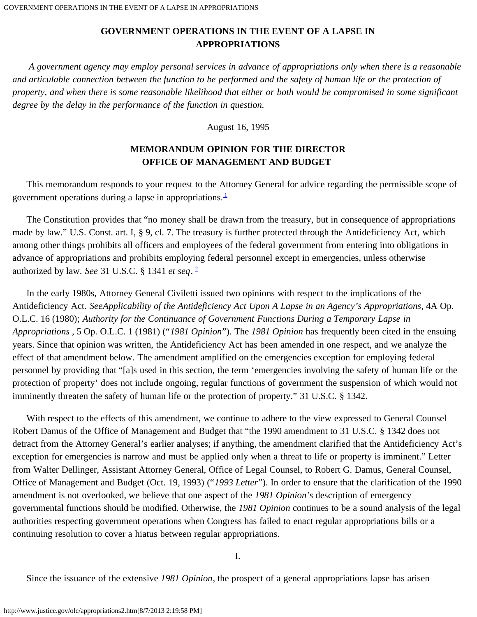*A government agency may employ personal services in advance of appropriations only when there is a reasonable and articulable connection between the function to be performed and the safety of human life or the protection of property, and when there is some reasonable likelihood that either or both would be compromised in some significant degree by the delay in the performance of the function in question.*

August 16, 1995

## **MEMORANDUM OPINION FOR THE DIRECTOR OFFICE OF MANAGEMENT AND BUDGET**

 This memorandum responds to your request to the Attorney General for advice regarding the permissible scope of government operations during a lapse in appropriations. $\frac{1}{1}$ 

 The Constitution provides that "no money shall be drawn from the treasury, but in consequence of appropriations made by law." U.S. Const. art. I, § 9, cl. 7. The treasury is further protected through the Antideficiency Act, which among other things prohibits all officers and employees of the federal government from entering into obligations in advance of appropriations and prohibits employing federal personnel except in emergencies, unless otherwise authorized by law. *See* 31 U.S.C. § 1341 *et seq*. [2](#page-5-1)

 In the early 1980s, Attorney General Civiletti issued two opinions with respect to the implications of the Antideficiency Act. *SeeApplicability of the Antideficiency Act Upon A Lapse in an Agency's Appropriations*, 4A Op. O.L.C. 16 (1980); *Authority for the Continuance of Government Functions During a Temporary Lapse in Appropriations* , 5 Op. O.L.C. 1 (1981) ("*1981 Opinion*"). The *1981 Opinion* has frequently been cited in the ensuing years. Since that opinion was written, the Antideficiency Act has been amended in one respect, and we analyze the effect of that amendment below. The amendment amplified on the emergencies exception for employing federal personnel by providing that "[a]s used in this section, the term 'emergencies involving the safety of human life or the protection of property' does not include ongoing, regular functions of government the suspension of which would not imminently threaten the safety of human life or the protection of property." 31 U.S.C. § 1342.

 With respect to the effects of this amendment, we continue to adhere to the view expressed to General Counsel Robert Damus of the Office of Management and Budget that "the 1990 amendment to 31 U.S.C. § 1342 does not detract from the Attorney General's earlier analyses; if anything, the amendment clarified that the Antideficiency Act's exception for emergencies is narrow and must be applied only when a threat to life or property is imminent." Letter from Walter Dellinger, Assistant Attorney General, Office of Legal Counsel, to Robert G. Damus, General Counsel, Office of Management and Budget (Oct. 19, 1993) ("*1993 Letter*"). In order to ensure that the clarification of the 1990 amendment is not overlooked, we believe that one aspect of the *1981 Opinion's* description of emergency governmental functions should be modified. Otherwise, the *1981 Opinion* continues to be a sound analysis of the legal authorities respecting government operations when Congress has failed to enact regular appropriations bills or a continuing resolution to cover a hiatus between regular appropriations.

I.

Since the issuance of the extensive *1981 Opinion*, the prospect of a general appropriations lapse has arisen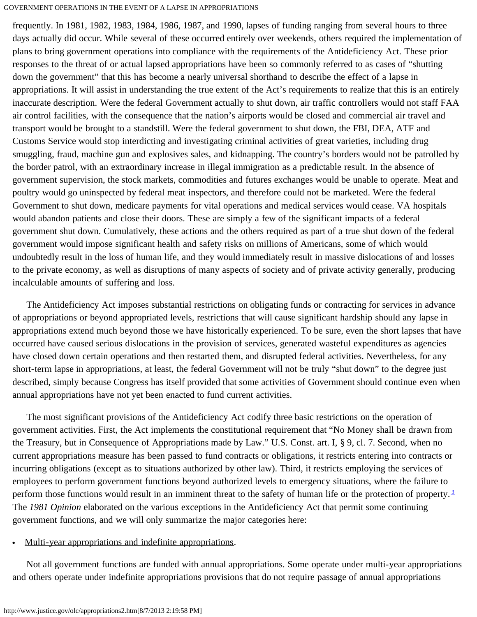frequently. In 1981, 1982, 1983, 1984, 1986, 1987, and 1990, lapses of funding ranging from several hours to three days actually did occur. While several of these occurred entirely over weekends, others required the implementation of plans to bring government operations into compliance with the requirements of the Antideficiency Act. These prior responses to the threat of or actual lapsed appropriations have been so commonly referred to as cases of "shutting down the government" that this has become a nearly universal shorthand to describe the effect of a lapse in appropriations. It will assist in understanding the true extent of the Act's requirements to realize that this is an entirely inaccurate description. Were the federal Government actually to shut down, air traffic controllers would not staff FAA air control facilities, with the consequence that the nation's airports would be closed and commercial air travel and transport would be brought to a standstill. Were the federal government to shut down, the FBI, DEA, ATF and Customs Service would stop interdicting and investigating criminal activities of great varieties, including drug smuggling, fraud, machine gun and explosives sales, and kidnapping. The country's borders would not be patrolled by the border patrol, with an extraordinary increase in illegal immigration as a predictable result. In the absence of government supervision, the stock markets, commodities and futures exchanges would be unable to operate. Meat and poultry would go uninspected by federal meat inspectors, and therefore could not be marketed. Were the federal Government to shut down, medicare payments for vital operations and medical services would cease. VA hospitals would abandon patients and close their doors. These are simply a few of the significant impacts of a federal government shut down. Cumulatively, these actions and the others required as part of a true shut down of the federal government would impose significant health and safety risks on millions of Americans, some of which would undoubtedly result in the loss of human life, and they would immediately result in massive dislocations of and losses to the private economy, as well as disruptions of many aspects of society and of private activity generally, producing incalculable amounts of suffering and loss.

 The Antideficiency Act imposes substantial restrictions on obligating funds or contracting for services in advance of appropriations or beyond appropriated levels, restrictions that will cause significant hardship should any lapse in appropriations extend much beyond those we have historically experienced. To be sure, even the short lapses that have occurred have caused serious dislocations in the provision of services, generated wasteful expenditures as agencies have closed down certain operations and then restarted them, and disrupted federal activities. Nevertheless, for any short-term lapse in appropriations, at least, the federal Government will not be truly "shut down" to the degree just described, simply because Congress has itself provided that some activities of Government should continue even when annual appropriations have not yet been enacted to fund current activities.

 The most significant provisions of the Antideficiency Act codify three basic restrictions on the operation of government activities. First, the Act implements the constitutional requirement that "No Money shall be drawn from the Treasury, but in Consequence of Appropriations made by Law." U.S. Const. art. I, § 9, cl. 7. Second, when no current appropriations measure has been passed to fund contracts or obligations, it restricts entering into contracts or incurring obligations (except as to situations authorized by other law). Third, it restricts employing the services of employees to perform government functions beyond authorized levels to emergency situations, where the failure to perform those functions would result in an imminent threat to the safety of human life or the protection of property.<sup>3</sup> The *1981 Opinion* elaborated on the various exceptions in the Antideficiency Act that permit some continuing government functions, and we will only summarize the major categories here:

#### Multi-year appropriations and indefinite appropriations.

 Not all government functions are funded with annual appropriations. Some operate under multi-year appropriations and others operate under indefinite appropriations provisions that do not require passage of annual appropriations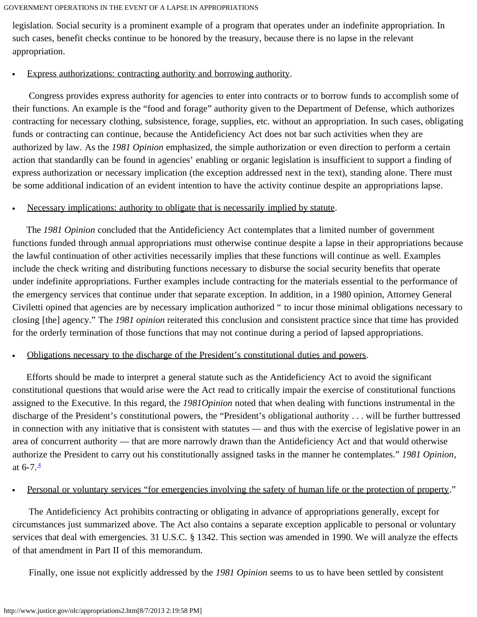legislation. Social security is a prominent example of a program that operates under an indefinite appropriation. In such cases, benefit checks continue to be honored by the treasury, because there is no lapse in the relevant appropriation.

#### Express authorizations: contracting authority and borrowing authority.

 Congress provides express authority for agencies to enter into contracts or to borrow funds to accomplish some of their functions. An example is the "food and forage" authority given to the Department of Defense, which authorizes contracting for necessary clothing, subsistence, forage, supplies, etc. without an appropriation. In such cases, obligating funds or contracting can continue, because the Antideficiency Act does not bar such activities when they are authorized by law. As the *1981 Opinion* emphasized, the simple authorization or even direction to perform a certain action that standardly can be found in agencies' enabling or organic legislation is insufficient to support a finding of express authorization or necessary implication (the exception addressed next in the text), standing alone. There must be some additional indication of an evident intention to have the activity continue despite an appropriations lapse.

### Necessary implications: authority to obligate that is necessarily implied by statute.

 The *1981 Opinion* concluded that the Antideficiency Act contemplates that a limited number of government functions funded through annual appropriations must otherwise continue despite a lapse in their appropriations because the lawful continuation of other activities necessarily implies that these functions will continue as well. Examples include the check writing and distributing functions necessary to disburse the social security benefits that operate under indefinite appropriations. Further examples include contracting for the materials essential to the performance of the emergency services that continue under that separate exception. In addition, in a 1980 opinion, Attorney General Civiletti opined that agencies are by necessary implication authorized " to incur those minimal obligations necessary to closing [the] agency." The *1981 opinion* reiterated this conclusion and consistent practice since that time has provided for the orderly termination of those functions that may not continue during a period of lapsed appropriations.

### Obligations necessary to the discharge of the President's constitutional duties and powers.

 Efforts should be made to interpret a general statute such as the Antideficiency Act to avoid the significant constitutional questions that would arise were the Act read to critically impair the exercise of constitutional functions assigned to the Executive. In this regard, the *1981Opinion* noted that when dealing with functions instrumental in the discharge of the President's constitutional powers, the "President's obligational authority . . . will be further buttressed in connection with any initiative that is consistent with statutes — and thus with the exercise of legislative power in an area of concurrent authority — that are more narrowly drawn than the Antideficiency Act and that would otherwise authorize the President to carry out his constitutionally assigned tasks in the manner he contemplates." *1981 Opinion*, at  $6 - 7 \cdot \frac{4}{3}$ 

### Personal or voluntary services "for emergencies involving the safety of human life or the protection of property."

 The Antideficiency Act prohibits contracting or obligating in advance of appropriations generally, except for circumstances just summarized above. The Act also contains a separate exception applicable to personal or voluntary services that deal with emergencies. 31 U.S.C. § 1342. This section was amended in 1990. We will analyze the effects of that amendment in Part II of this memorandum.

Finally, one issue not explicitly addressed by the *1981 Opinion* seems to us to have been settled by consistent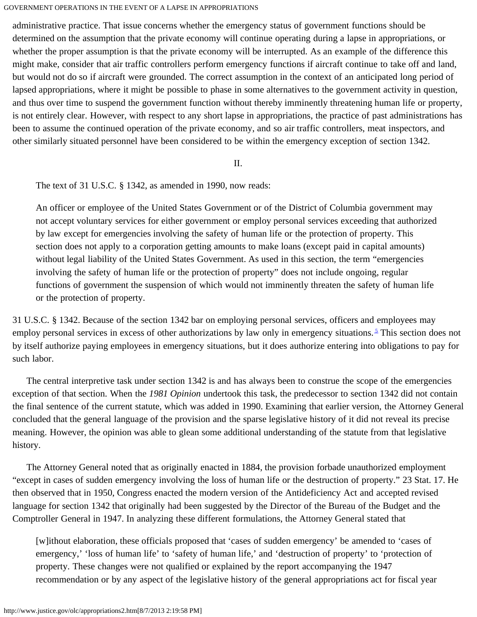administrative practice. That issue concerns whether the emergency status of government functions should be determined on the assumption that the private economy will continue operating during a lapse in appropriations, or whether the proper assumption is that the private economy will be interrupted. As an example of the difference this might make, consider that air traffic controllers perform emergency functions if aircraft continue to take off and land, but would not do so if aircraft were grounded. The correct assumption in the context of an anticipated long period of lapsed appropriations, where it might be possible to phase in some alternatives to the government activity in question, and thus over time to suspend the government function without thereby imminently threatening human life or property, is not entirely clear. However, with respect to any short lapse in appropriations, the practice of past administrations has been to assume the continued operation of the private economy, and so air traffic controllers, meat inspectors, and other similarly situated personnel have been considered to be within the emergency exception of section 1342.

II.

The text of 31 U.S.C. § 1342, as amended in 1990, now reads:

An officer or employee of the United States Government or of the District of Columbia government may not accept voluntary services for either government or employ personal services exceeding that authorized by law except for emergencies involving the safety of human life or the protection of property. This section does not apply to a corporation getting amounts to make loans (except paid in capital amounts) without legal liability of the United States Government. As used in this section, the term "emergencies involving the safety of human life or the protection of property" does not include ongoing, regular functions of government the suspension of which would not imminently threaten the safety of human life or the protection of property.

31 U.S.C. § 1342. Because of the section 1342 bar on employing personal services, officers and employees may employ personal services in excess of other authorizations by law only in emergency situations.<sup>5</sup> This section does not by itself authorize paying employees in emergency situations, but it does authorize entering into obligations to pay for such labor.

 The central interpretive task under section 1342 is and has always been to construe the scope of the emergencies exception of that section. When the *1981 Opinion* undertook this task, the predecessor to section 1342 did not contain the final sentence of the current statute, which was added in 1990. Examining that earlier version, the Attorney General concluded that the general language of the provision and the sparse legislative history of it did not reveal its precise meaning. However, the opinion was able to glean some additional understanding of the statute from that legislative history.

 The Attorney General noted that as originally enacted in 1884, the provision forbade unauthorized employment "except in cases of sudden emergency involving the loss of human life or the destruction of property." 23 Stat. 17. He then observed that in 1950, Congress enacted the modern version of the Antideficiency Act and accepted revised language for section 1342 that originally had been suggested by the Director of the Bureau of the Budget and the Comptroller General in 1947. In analyzing these different formulations, the Attorney General stated that

[w]ithout elaboration, these officials proposed that 'cases of sudden emergency' be amended to 'cases of emergency,' 'loss of human life' to 'safety of human life,' and 'destruction of property' to 'protection of property. These changes were not qualified or explained by the report accompanying the 1947 recommendation or by any aspect of the legislative history of the general appropriations act for fiscal year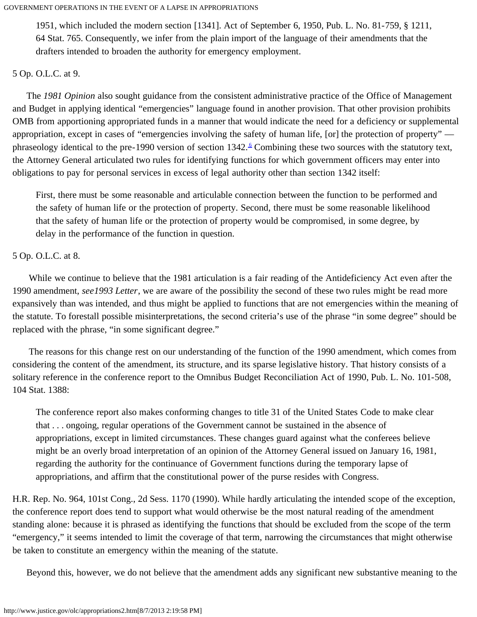1951, which included the modern section [1341]. Act of September 6, 1950, Pub. L. No. 81-759, § 1211, 64 Stat. 765. Consequently, we infer from the plain import of the language of their amendments that the drafters intended to broaden the authority for emergency employment.

### 5 Op. O.L.C. at 9.

 The *1981 Opinion* also sought guidance from the consistent administrative practice of the Office of Management and Budget in applying identical "emergencies" language found in another provision. That other provision prohibits OMB from apportioning appropriated funds in a manner that would indicate the need for a deficiency or supplemental appropriation, except in cases of "emergencies involving the safety of human life, [or] the protection of property" phraseology identical to the pre-1990 version of section  $1342.$  Combining these two sources with the statutory text, the Attorney General articulated two rules for identifying functions for which government officers may enter into obligations to pay for personal services in excess of legal authority other than section 1342 itself:

First, there must be some reasonable and articulable connection between the function to be performed and the safety of human life or the protection of property. Second, there must be some reasonable likelihood that the safety of human life or the protection of property would be compromised, in some degree, by delay in the performance of the function in question.

## 5 Op. O.L.C. at 8.

 While we continue to believe that the 1981 articulation is a fair reading of the Antideficiency Act even after the 1990 amendment, *see1993 Letter*, we are aware of the possibility the second of these two rules might be read more expansively than was intended, and thus might be applied to functions that are not emergencies within the meaning of the statute. To forestall possible misinterpretations, the second criteria's use of the phrase "in some degree" should be replaced with the phrase, "in some significant degree."

 The reasons for this change rest on our understanding of the function of the 1990 amendment, which comes from considering the content of the amendment, its structure, and its sparse legislative history. That history consists of a solitary reference in the conference report to the Omnibus Budget Reconciliation Act of 1990, Pub. L. No. 101-508, 104 Stat. 1388:

The conference report also makes conforming changes to title 31 of the United States Code to make clear that . . . ongoing, regular operations of the Government cannot be sustained in the absence of appropriations, except in limited circumstances. These changes guard against what the conferees believe might be an overly broad interpretation of an opinion of the Attorney General issued on January 16, 1981, regarding the authority for the continuance of Government functions during the temporary lapse of appropriations, and affirm that the constitutional power of the purse resides with Congress.

H.R. Rep. No. 964, 101st Cong., 2d Sess. 1170 (1990). While hardly articulating the intended scope of the exception, the conference report does tend to support what would otherwise be the most natural reading of the amendment standing alone: because it is phrased as identifying the functions that should be excluded from the scope of the term "emergency," it seems intended to limit the coverage of that term, narrowing the circumstances that might otherwise be taken to constitute an emergency within the meaning of the statute.

Beyond this, however, we do not believe that the amendment adds any significant new substantive meaning to the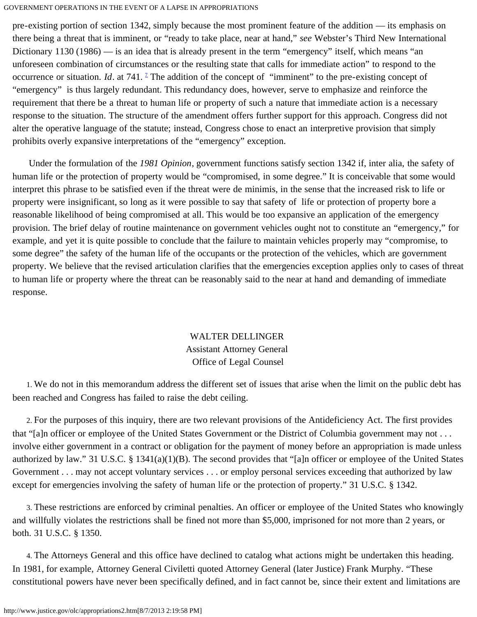pre-existing portion of section 1342, simply because the most prominent feature of the addition — its emphasis on there being a threat that is imminent, or "ready to take place, near at hand," *see* Webster's Third New International Dictionary 1130 (1986) — is an idea that is already present in the term "emergency" itself, which means "an unforeseen combination of circumstances or the resulting state that calls for immediate action" to respond to the occurrence or situation. *Id*. at [7](#page-6-2)41. <sup>1</sup> The addition of the concept of "imminent" to the pre-existing concept of "emergency" is thus largely redundant. This redundancy does, however, serve to emphasize and reinforce the requirement that there be a threat to human life or property of such a nature that immediate action is a necessary response to the situation. The structure of the amendment offers further support for this approach. Congress did not alter the operative language of the statute; instead, Congress chose to enact an interpretive provision that simply prohibits overly expansive interpretations of the "emergency" exception.

 Under the formulation of the *1981 Opinion*, government functions satisfy section 1342 if, inter alia, the safety of human life or the protection of property would be "compromised, in some degree." It is conceivable that some would interpret this phrase to be satisfied even if the threat were de minimis, in the sense that the increased risk to life or property were insignificant, so long as it were possible to say that safety of life or protection of property bore a reasonable likelihood of being compromised at all. This would be too expansive an application of the emergency provision. The brief delay of routine maintenance on government vehicles ought not to constitute an "emergency," for example, and yet it is quite possible to conclude that the failure to maintain vehicles properly may "compromise, to some degree" the safety of the human life of the occupants or the protection of the vehicles, which are government property. We believe that the revised articulation clarifies that the emergencies exception applies only to cases of threat to human life or property where the threat can be reasonably said to the near at hand and demanding of immediate response.

# WALTER DELLINGER Assistant Attorney General Office of Legal Counsel

<span id="page-5-0"></span> 1. We do not in this memorandum address the different set of issues that arise when the limit on the public debt has been reached and Congress has failed to raise the debt ceiling.

<span id="page-5-1"></span> 2. For the purposes of this inquiry, there are two relevant provisions of the Antideficiency Act. The first provides that "[a]n officer or employee of the United States Government or the District of Columbia government may not . . . involve either government in a contract or obligation for the payment of money before an appropriation is made unless authorized by law." 31 U.S.C. § 1341(a)(1)(B). The second provides that "[a]n officer or employee of the United States Government . . . may not accept voluntary services . . . or employ personal services exceeding that authorized by law except for emergencies involving the safety of human life or the protection of property." 31 U.S.C. § 1342.

<span id="page-5-2"></span> 3. These restrictions are enforced by criminal penalties. An officer or employee of the United States who knowingly and willfully violates the restrictions shall be fined not more than \$5,000, imprisoned for not more than 2 years, or both. 31 U.S.C. § 1350.

<span id="page-5-3"></span> 4. The Attorneys General and this office have declined to catalog what actions might be undertaken this heading. In 1981, for example, Attorney General Civiletti quoted Attorney General (later Justice) Frank Murphy. "These constitutional powers have never been specifically defined, and in fact cannot be, since their extent and limitations are